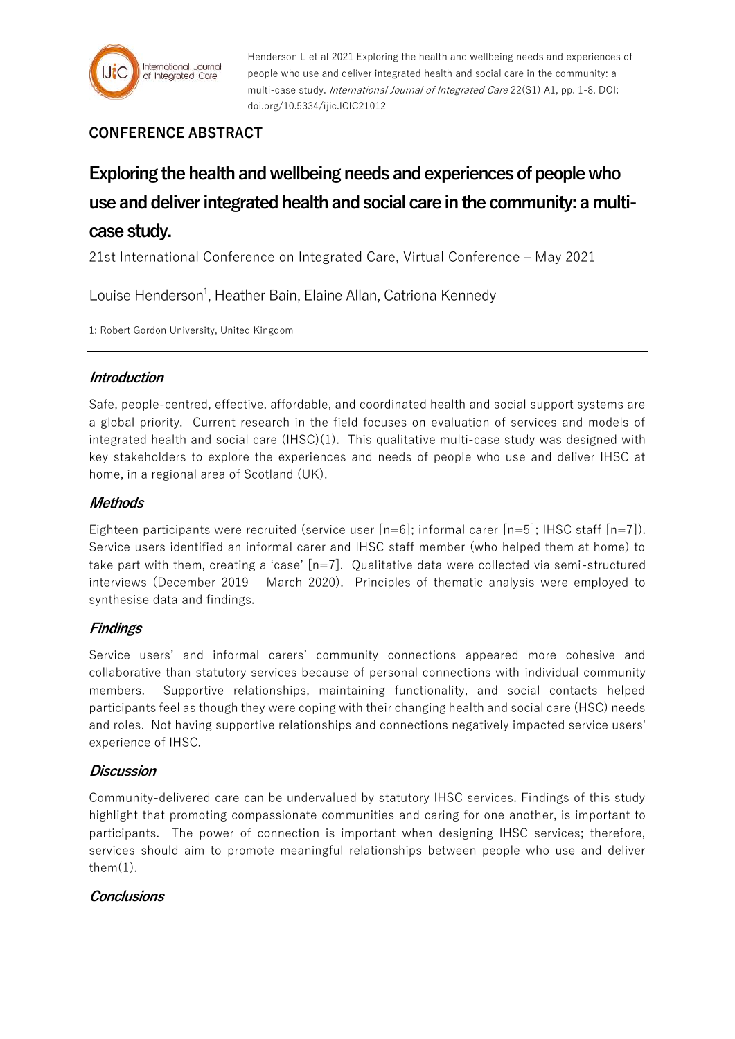# **CONFERENCE ABSTRACT**

# **Exploring the health and wellbeing needs and experiences of people who use and deliver integrated health and social care in the community: a multicase study.**

21st International Conference on Integrated Care, Virtual Conference – May 2021

Louise Henderson<sup>1</sup>, Heather Bain, Elaine Allan, Catriona Kennedy

1: Robert Gordon University, United Kingdom

### **Introduction**

Safe, people-centred, effective, affordable, and coordinated health and social support systems are a global priority. Current research in the field focuses on evaluation of services and models of integrated health and social care (IHSC)(1). This qualitative multi-case study was designed with key stakeholders to explore the experiences and needs of people who use and deliver IHSC at home, in a regional area of Scotland (UK).

### **Methods**

Eighteen participants were recruited (service user  $[n=6]$ ; informal carer  $[n=5]$ ; IHSC staff  $[n=7]$ ). Service users identified an informal carer and IHSC staff member (who helped them at home) to take part with them, creating a 'case' [n=7]. Qualitative data were collected via semi-structured interviews (December 2019 – March 2020). Principles of thematic analysis were employed to synthesise data and findings.

## **Findings**

Service users' and informal carers' community connections appeared more cohesive and collaborative than statutory services because of personal connections with individual community members. Supportive relationships, maintaining functionality, and social contacts helped participants feel as though they were coping with their changing health and social care (HSC) needs and roles. Not having supportive relationships and connections negatively impacted service users' experience of IHSC.

## **Discussion**

Community-delivered care can be undervalued by statutory IHSC services. Findings of this study highlight that promoting compassionate communities and caring for one another, is important to participants. The power of connection is important when designing IHSC services; therefore, services should aim to promote meaningful relationships between people who use and deliver them $(1)$ .

## **Conclusions**